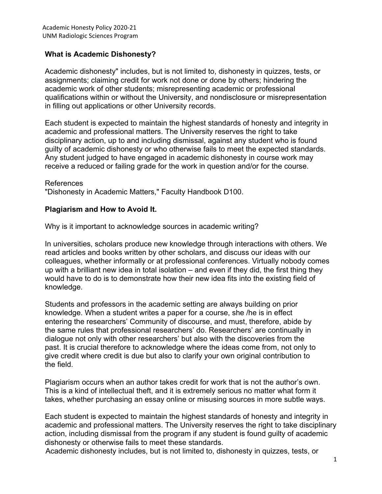## **What is Academic Dishonesty?**

Academic dishonesty" includes, but is not limited to, dishonesty in quizzes, tests, or assignments; claiming credit for work not done or done by others; hindering the academic work of other students; misrepresenting academic or professional qualifications within or without the University, and nondisclosure or misrepresentation in filling out applications or other University records.

Each student is expected to maintain the highest standards of honesty and integrity in academic and professional matters. The University reserves the right to take disciplinary action, up to and including dismissal, against any student who is found guilty of academic dishonesty or who otherwise fails to meet the expected standards. Any student judged to have engaged in academic dishonesty in course work may receive a reduced or failing grade for the work in question and/or for the course.

#### References

"Dishonesty in Academic Matters," Faculty Handbook D100.

#### **Plagiarism and How to Avoid It.**

Why is it important to acknowledge sources in academic writing?

In universities, scholars produce new knowledge through interactions with others. We read articles and books written by other scholars, and discuss our ideas with our colleagues, whether informally or at professional conferences. Virtually nobody comes up with a brilliant new idea in total isolation – and even if they did, the first thing they would have to do is to demonstrate how their new idea fits into the existing field of knowledge.

Students and professors in the academic setting are always building on prior knowledge. When a student writes a paper for a course, she /he is in effect entering the researchers' Community of discourse, and must, therefore, abide by the same rules that professional researchers' do. Researchers' are continually in dialogue not only with other researchers' but also with the discoveries from the past. It is crucial therefore to acknowledge where the ideas come from, not only to give credit where credit is due but also to clarify your own original contribution to the field.

Plagiarism occurs when an author takes credit for work that is not the author's own. This is a kind of intellectual theft, and it is extremely serious no matter what form it takes, whether purchasing an essay online or misusing sources in more subtle ways.

Each student is expected to maintain the highest standards of honesty and integrity in academic and professional matters. The University reserves the right to take disciplinary action, including dismissal from the program if any student is found guilty of academic dishonesty or otherwise fails to meet these standards.

Academic dishonesty includes, but is not limited to, dishonesty in quizzes, tests, or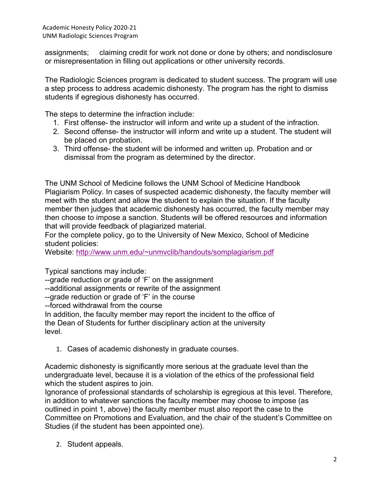assignments; claiming credit for work not done or done by others; and nondisclosure or misrepresentation in filling out applications or other university records.

The Radiologic Sciences program is dedicated to student success. The program will use a step process to address academic dishonesty. The program has the right to dismiss students if egregious dishonesty has occurred.

The steps to determine the infraction include:

- 1. First offense- the instructor will inform and write up a student of the infraction.
- 2. Second offense- the instructor will inform and write up a student. The student will be placed on probation.
- 3. Third offense- the student will be informed and written up. Probation and or dismissal from the program as determined by the director.

The UNM School of Medicine follows the UNM School of Medicine Handbook Plagiarism Policy. In cases of suspected academic dishonesty, the faculty member will meet with the student and allow the student to explain the situation. If the faculty member then judges that academic dishonesty has occurred, the faculty member may then choose to impose a sanction. Students will be offered resources and information that will provide feedback of plagiarized material.

For the complete policy, go to the University of New Mexico, School of Medicine student policies:

Website: [http://www.unm.edu/~unmvclib/handouts/somplagiarism.pdf](http://www.unm.edu/%7Eunmvclib/handouts/somplagiarism.pdf)

Typical sanctions may include:

--grade reduction or grade of 'F' on the assignment

--additional assignments or rewrite of the assignment

--grade reduction or grade of 'F' in the course

--forced withdrawal from the course

In addition, the faculty member may report the incident to the office of the Dean of Students for further disciplinary action at the university level.

1. Cases of academic dishonesty in graduate courses.

Academic dishonesty is significantly more serious at the graduate level than the undergraduate level, because it is a violation of the ethics of the professional field which the student aspires to join.

Ignorance of professional standards of scholarship is egregious at this level. Therefore, in addition to whatever sanctions the faculty member may choose to impose (as outlined in point 1, above) the faculty member must also report the case to the Committee on Promotions and Evaluation, and the chair of the student's Committee on Studies (if the student has been appointed one).

2. Student appeals.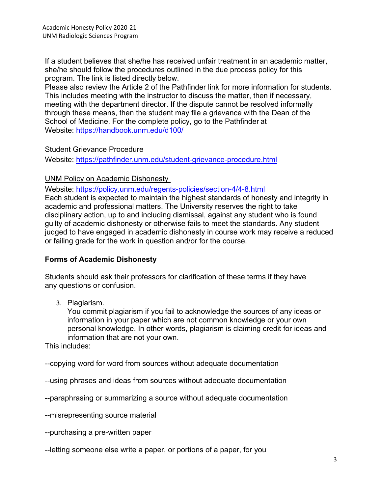If a student believes that she/he has received unfair treatment in an academic matter, she/he should follow the procedures outlined in the due process policy for this program. The link is listed directly below.

Please also review the Article 2 of the Pathfinder link for more information for students. This includes meeting with the instructor to discuss the matter, then if necessary, meeting with the department director. If the dispute cannot be resolved informally through these means, then the student may file a grievance with the Dean of the School of Medicine. For the complete policy, go to the Pathfinder at Website:<https://handbook.unm.edu/d100/>

### Student Grievance Procedure

Website:<https://pathfinder.unm.edu/student-grievance-procedure.html>

## UNM Policy on Academic Dishonesty

Website:<https://policy.unm.edu/regents-policies/section-4/4-8.html>

Each student is expected to maintain the highest standards of honesty and integrity in academic and professional matters. The University reserves the right to take disciplinary action, up to and including dismissal, against any student who is found guilty of academic dishonesty or otherwise fails to meet the standards. Any student judged to have engaged in academic dishonesty in course work may receive a reduced or failing grade for the work in question and/or for the course.

# **Forms of Academic Dishonesty**

Students should ask their professors for clarification of these terms if they have any questions or confusion.

3. Plagiarism.

You commit plagiarism if you fail to acknowledge the sources of any ideas or information in your paper which are not common knowledge or your own personal knowledge. In other words, plagiarism is claiming credit for ideas and information that are not your own.

This includes:

--copying word for word from sources without adequate documentation

--using phrases and ideas from sources without adequate documentation

--paraphrasing or summarizing a source without adequate documentation

--misrepresenting source material

--purchasing a pre-written paper

--letting someone else write a paper, or portions of a paper, for you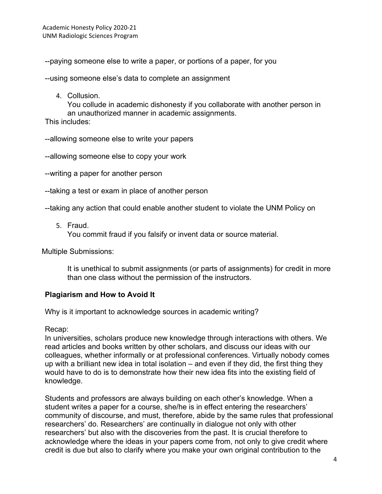--paying someone else to write a paper, or portions of a paper, for you

--using someone else's data to complete an assignment

4. Collusion.

You collude in academic dishonesty if you collaborate with another person in an unauthorized manner in academic assignments.

This includes:

--allowing someone else to write your papers

--allowing someone else to copy your work

- --writing a paper for another person
- --taking a test or exam in place of another person

--taking any action that could enable another student to violate the UNM Policy on

5. Fraud.

You commit fraud if you falsify or invent data or source material.

Multiple Submissions:

It is unethical to submit assignments (or parts of assignments) for credit in more than one class without the permission of the instructors.

### **Plagiarism and How to Avoid It**

Why is it important to acknowledge sources in academic writing?

Recap:

In universities, scholars produce new knowledge through interactions with others. We read articles and books written by other scholars, and discuss our ideas with our colleagues, whether informally or at professional conferences. Virtually nobody comes up with a brilliant new idea in total isolation – and even if they did, the first thing they would have to do is to demonstrate how their new idea fits into the existing field of knowledge.

Students and professors are always building on each other's knowledge. When a student writes a paper for a course, she/he is in effect entering the researchers' community of discourse, and must, therefore, abide by the same rules that professional researchers' do. Researchers' are continually in dialogue not only with other researchers' but also with the discoveries from the past. It is crucial therefore to acknowledge where the ideas in your papers come from, not only to give credit where credit is due but also to clarify where you make your own original contribution to the